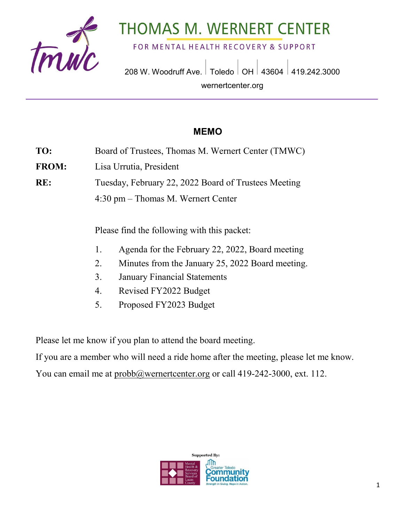

# **THOMAS M. WERNERT CENTER**

FOR MENTAL HEALTH RECOVERY & SUPPORT

208 W. Woodruff Ave. | Toledo | OH | 43604 | 419.242.3000 wernertcenter.org

### **MEMO**

- **TO:** Board of Trustees, Thomas M. Wernert Center (TMWC)
- **FROM:** Lisa Urrutia, President

**RE:** Tuesday, February 22, 2022 Board of Trustees Meeting

4:30 pm – Thomas M. Wernert Center

Please find the following with this packet:

- 1. Agenda for the February 22, 2022, Board meeting
- 2. Minutes from the January 25, 2022 Board meeting.
- 3. January Financial Statements
- 4. Revised FY2022 Budget
- 5. Proposed FY2023 Budget

Please let me know if you plan to attend the board meeting.

If you are a member who will need a ride home after the meeting, please let me know.

You can email me at [probb@wernertcenter.org](mailto:probb@wernertcenter.org) or call 419-242-3000, ext. 112.

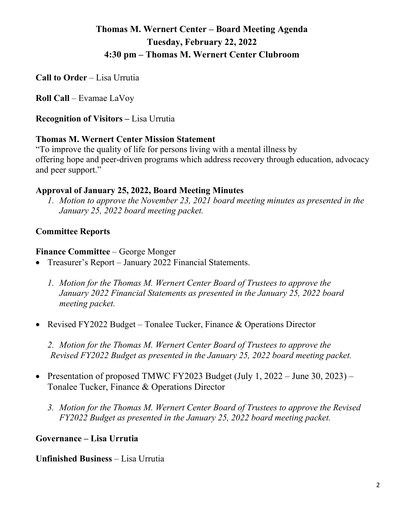## **Thomas M. Wernert Center – Board Meeting Agenda Tuesday, February 22, 2022 4:30 pm – Thomas M. Wernert Center Clubroom**

**Call to Order** – Lisa Urrutia

**Roll Call** – Evamae LaVoy

**Recognition of Visitors –** Lisa Urrutia

#### **Thomas M. Wernert Center Mission Statement**

"To improve the quality of life for persons living with a mental illness by offering hope and peer-driven programs which address recovery through education, advocacy and peer support."

#### **Approval of January 25, 2022, Board Meeting Minutes**

*1. Motion to approve the November 23, 2021 board meeting minutes as presented in the January 25, 2022 board meeting packet.*

#### **Committee Reports**

#### **Finance Committee** – George Monger

- Treasurer's Report January 2022 Financial Statements.
	- *1. Motion for the Thomas M. Wernert Center Board of Trustees to approve the January 2022 Financial Statements as presented in the January 25, 2022 board meeting packet.*
- Revised FY2022 Budget Tonalee Tucker, Finance & Operations Director

*2. Motion for the Thomas M. Wernert Center Board of Trustees to approve the Revised FY2022 Budget as presented in the January 25, 2022 board meeting packet.*

- Presentation of proposed TMWC FY2023 Budget (July 1, 2022 June 30, 2023) Tonalee Tucker, Finance & Operations Director
	- *3. Motion for the Thomas M. Wernert Center Board of Trustees to approve the Revised FY2022 Budget as presented in the January 25, 2022 board meeting packet.*

#### **Governance – Lisa Urrutia**

**Unfinished Business** – Lisa Urrutia